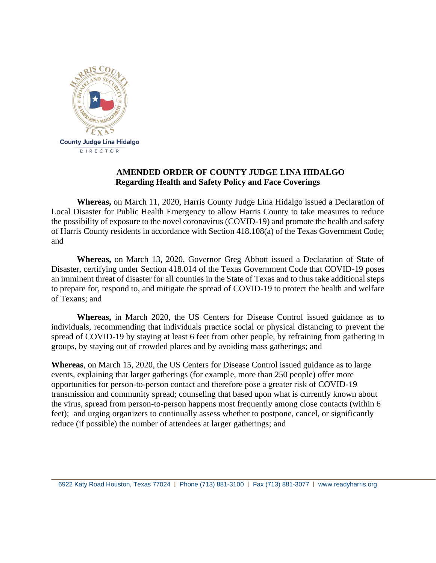

## **AMENDED ORDER OF COUNTY JUDGE LINA HIDALGO Regarding Health and Safety Policy and Face Coverings**

**Whereas,** on March 11, 2020, Harris County Judge Lina Hidalgo issued a Declaration of Local Disaster for Public Health Emergency to allow Harris County to take measures to reduce the possibility of exposure to the novel coronavirus (COVID-19) and promote the health and safety of Harris County residents in accordance with Section 418.108(a) of the Texas Government Code; and

**Whereas,** on March 13, 2020, Governor Greg Abbott issued a Declaration of State of Disaster, certifying under Section 418.014 of the Texas Government Code that COVID-19 poses an imminent threat of disaster for all counties in the State of Texas and to thus take additional steps to prepare for, respond to, and mitigate the spread of COVID-19 to protect the health and welfare of Texans; and

**Whereas,** in March 2020, the US Centers for Disease Control issued guidance as to individuals, recommending that individuals practice social or physical distancing to prevent the spread of COVID-19 by staying at least 6 feet from other people, by refraining from gathering in groups, by staying out of crowded places and by avoiding mass gatherings; and

**Whereas**, on March 15, 2020, the US Centers for Disease Control issued guidance as to large events, explaining that larger gatherings (for example, more than 250 people) offer more opportunities for person-to-person contact and therefore pose a greater risk of COVID-19 transmission and community spread; counseling that based upon what is currently known about the virus, spread from person-to-person happens most frequently among close contacts (within 6 feet); and urging organizers to continually assess whether to postpone, cancel, or significantly reduce (if possible) the number of attendees at larger gatherings; and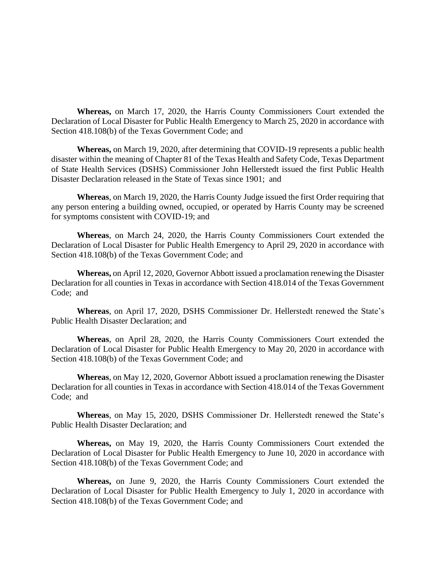**Whereas,** on March 17, 2020, the Harris County Commissioners Court extended the Declaration of Local Disaster for Public Health Emergency to March 25, 2020 in accordance with Section 418.108(b) of the Texas Government Code; and

**Whereas,** on March 19, 2020, after determining that COVID-19 represents a public health disaster within the meaning of Chapter 81 of the Texas Health and Safety Code, Texas Department of State Health Services (DSHS) Commissioner John Hellerstedt issued the first Public Health Disaster Declaration released in the State of Texas since 1901; and

**Whereas**, on March 19, 2020, the Harris County Judge issued the first Order requiring that any person entering a building owned, occupied, or operated by Harris County may be screened for symptoms consistent with COVID-19; and

**Whereas**, on March 24, 2020, the Harris County Commissioners Court extended the Declaration of Local Disaster for Public Health Emergency to April 29, 2020 in accordance with Section 418.108(b) of the Texas Government Code; and

**Whereas,** on April 12, 2020, Governor Abbott issued a proclamation renewing the Disaster Declaration for all counties in Texas in accordance with Section 418.014 of the Texas Government Code; and

**Whereas**, on April 17, 2020, DSHS Commissioner Dr. Hellerstedt renewed the State's Public Health Disaster Declaration; and

**Whereas**, on April 28, 2020, the Harris County Commissioners Court extended the Declaration of Local Disaster for Public Health Emergency to May 20, 2020 in accordance with Section 418.108(b) of the Texas Government Code; and

**Whereas**, on May 12, 2020, Governor Abbott issued a proclamation renewing the Disaster Declaration for all counties in Texas in accordance with Section 418.014 of the Texas Government Code; and

**Whereas**, on May 15, 2020, DSHS Commissioner Dr. Hellerstedt renewed the State's Public Health Disaster Declaration; and

**Whereas,** on May 19, 2020, the Harris County Commissioners Court extended the Declaration of Local Disaster for Public Health Emergency to June 10, 2020 in accordance with Section 418.108(b) of the Texas Government Code; and

**Whereas,** on June 9, 2020, the Harris County Commissioners Court extended the Declaration of Local Disaster for Public Health Emergency to July 1, 2020 in accordance with Section 418.108(b) of the Texas Government Code; and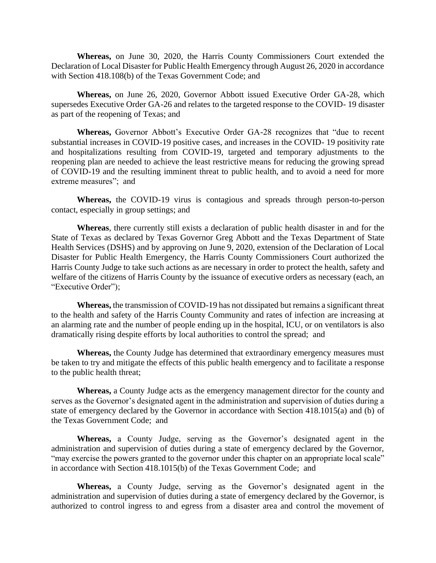**Whereas,** on June 30, 2020, the Harris County Commissioners Court extended the Declaration of Local Disaster for Public Health Emergency through August 26, 2020 in accordance with Section 418.108(b) of the Texas Government Code; and

**Whereas,** on June 26, 2020, Governor Abbott issued Executive Order GA-28, which supersedes Executive Order GA-26 and relates to the targeted response to the COVID- 19 disaster as part of the reopening of Texas; and

**Whereas,** Governor Abbott's Executive Order GA-28 recognizes that "due to recent substantial increases in COVID-19 positive cases, and increases in the COVID- 19 positivity rate and hospitalizations resulting from COVID-19, targeted and temporary adjustments to the reopening plan are needed to achieve the least restrictive means for reducing the growing spread of COVID-19 and the resulting imminent threat to public health, and to avoid a need for more extreme measures"; and

**Whereas,** the COVID-19 virus is contagious and spreads through person-to-person contact, especially in group settings; and

**Whereas**, there currently still exists a declaration of public health disaster in and for the State of Texas as declared by Texas Governor Greg Abbott and the Texas Department of State Health Services (DSHS) and by approving on June 9, 2020, extension of the Declaration of Local Disaster for Public Health Emergency, the Harris County Commissioners Court authorized the Harris County Judge to take such actions as are necessary in order to protect the health, safety and welfare of the citizens of Harris County by the issuance of executive orders as necessary (each, an "Executive Order");

**Whereas,** the transmission of COVID-19 has not dissipated but remains a significant threat to the health and safety of the Harris County Community and rates of infection are increasing at an alarming rate and the number of people ending up in the hospital, ICU, or on ventilators is also dramatically rising despite efforts by local authorities to control the spread; and

**Whereas,** the County Judge has determined that extraordinary emergency measures must be taken to try and mitigate the effects of this public health emergency and to facilitate a response to the public health threat;

**Whereas,** a County Judge acts as the emergency management director for the county and serves as the Governor's designated agent in the administration and supervision of duties during a state of emergency declared by the Governor in accordance with Section 418.1015(a) and (b) of the Texas Government Code; and

**Whereas,** a County Judge, serving as the Governor's designated agent in the administration and supervision of duties during a state of emergency declared by the Governor, "may exercise the powers granted to the governor under this chapter on an appropriate local scale" in accordance with Section 418.1015(b) of the Texas Government Code; and

**Whereas,** a County Judge, serving as the Governor's designated agent in the administration and supervision of duties during a state of emergency declared by the Governor, is authorized to control ingress to and egress from a disaster area and control the movement of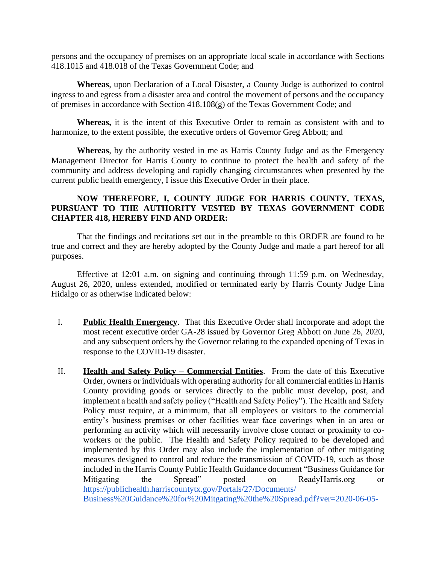persons and the occupancy of premises on an appropriate local scale in accordance with Sections 418.1015 and 418.018 of the Texas Government Code; and

**Whereas**, upon Declaration of a Local Disaster, a County Judge is authorized to control ingress to and egress from a disaster area and control the movement of persons and the occupancy of premises in accordance with Section 418.108(g) of the Texas Government Code; and

**Whereas,** it is the intent of this Executive Order to remain as consistent with and to harmonize, to the extent possible, the executive orders of Governor Greg Abbott; and

**Whereas**, by the authority vested in me as Harris County Judge and as the Emergency Management Director for Harris County to continue to protect the health and safety of the community and address developing and rapidly changing circumstances when presented by the current public health emergency, I issue this Executive Order in their place.

## **NOW THEREFORE, I, COUNTY JUDGE FOR HARRIS COUNTY, TEXAS, PURSUANT TO THE AUTHORITY VESTED BY TEXAS GOVERNMENT CODE CHAPTER 418, HEREBY FIND AND ORDER:**

That the findings and recitations set out in the preamble to this ORDER are found to be true and correct and they are hereby adopted by the County Judge and made a part hereof for all purposes.

Effective at 12:01 a.m. on signing and continuing through 11:59 p.m. on Wednesday, August 26, 2020, unless extended, modified or terminated early by Harris County Judge Lina Hidalgo or as otherwise indicated below:

- I. **Public Health Emergency**. That this Executive Order shall incorporate and adopt the most recent executive order GA-28 issued by Governor Greg Abbott on June 26, 2020, and any subsequent orders by the Governor relating to the expanded opening of Texas in response to the COVID-19 disaster.
- II. **Health and Safety Policy – Commercial Entities**. From the date of this Executive Order, owners or individuals with operating authority for all commercial entities in Harris County providing goods or services directly to the public must develop, post, and implement a health and safety policy ("Health and Safety Policy"). The Health and Safety Policy must require, at a minimum, that all employees or visitors to the commercial entity's business premises or other facilities wear face coverings when in an area or performing an activity which will necessarily involve close contact or proximity to coworkers or the public. The Health and Safety Policy required to be developed and implemented by this Order may also include the implementation of other mitigating measures designed to control and reduce the transmission of COVID-19, such as those included in the Harris County Public Health Guidance document "Business Guidance for Mitigating the Spread" posted on ReadyHarris.org or [https://publichealth.harriscountytx.gov/Portals/27/Documents/](https://publichealth.harriscountytx.gov/Portals/27/Documents/Business%20Guidance%20for%20Mitgating%20the%20Spread.pdf?ver=2020-06-05-142005-537) [Business%20Guidance%20for%20Mitgating%20the%20Spread.pdf?ver=2020-06-05-](https://publichealth.harriscountytx.gov/Portals/27/Documents/Business%20Guidance%20for%20Mitgating%20the%20Spread.pdf?ver=2020-06-05-142005-537)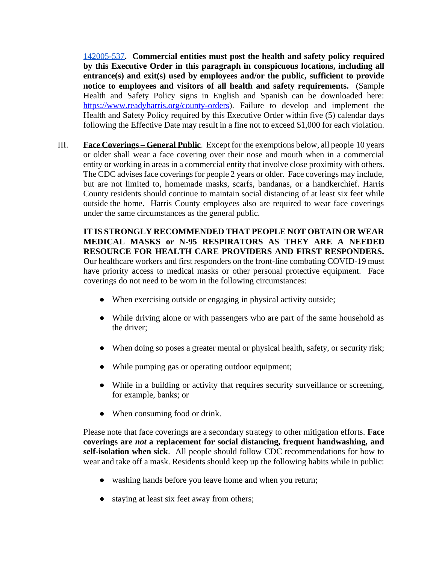[142005-537](https://publichealth.harriscountytx.gov/Portals/27/Documents/Business%20Guidance%20for%20Mitgating%20the%20Spread.pdf?ver=2020-06-05-142005-537)**. Commercial entities must post the health and safety policy required by this Executive Order in this paragraph in conspicuous locations, including all entrance(s) and exit(s) used by employees and/or the public, sufficient to provide notice to employees and visitors of all health and safety requirements.** (Sample Health and Safety Policy signs in English and Spanish can be downloaded here: [https://www.readyharris.org/county-orders\)](https://www.readyharris.org/county-orders). Failure to develop and implement the Health and Safety Policy required by this Executive Order within five (5) calendar days following the Effective Date may result in a fine not to exceed \$1,000 for each violation.

III. **Face Coverings – General Public**. Except for the exemptions below, all people 10 years or older shall wear a face covering over their nose and mouth when in a commercial entity or working in areas in a commercial entity that involve close proximity with others. The CDC advises face coverings for people 2 years or older. Face coverings may include, but are not limited to, homemade masks, scarfs, bandanas, or a handkerchief. Harris County residents should continue to maintain social distancing of at least six feet while outside the home. Harris County employees also are required to wear face coverings under the same circumstances as the general public.

**IT IS STRONGLY RECOMMENDED THAT PEOPLE NOT OBTAIN OR WEAR MEDICAL MASKS or N-95 RESPIRATORS AS THEY ARE A NEEDED RESOURCE FOR HEALTH CARE PROVIDERS AND FIRST RESPONDERS.** Our healthcare workers and first responders on the front-line combating COVID-19 must have priority access to medical masks or other personal protective equipment. Face coverings do not need to be worn in the following circumstances:

- When exercising outside or engaging in physical activity outside;
- While driving alone or with passengers who are part of the same household as the driver;
- When doing so poses a greater mental or physical health, safety, or security risk;
- While pumping gas or operating outdoor equipment;
- While in a building or activity that requires security surveillance or screening, for example, banks; or
- When consuming food or drink.

Please note that face coverings are a secondary strategy to other mitigation efforts. **Face coverings are** *not* **a replacement for social distancing, frequent handwashing, and self-isolation when sick**. All people should follow CDC recommendations for how to wear and take off a mask. Residents should keep up the following habits while in public:

- washing hands before you leave home and when you return;
- staying at least six feet away from others;